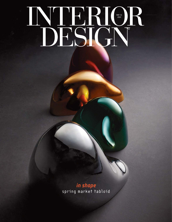## MAY 31 2022